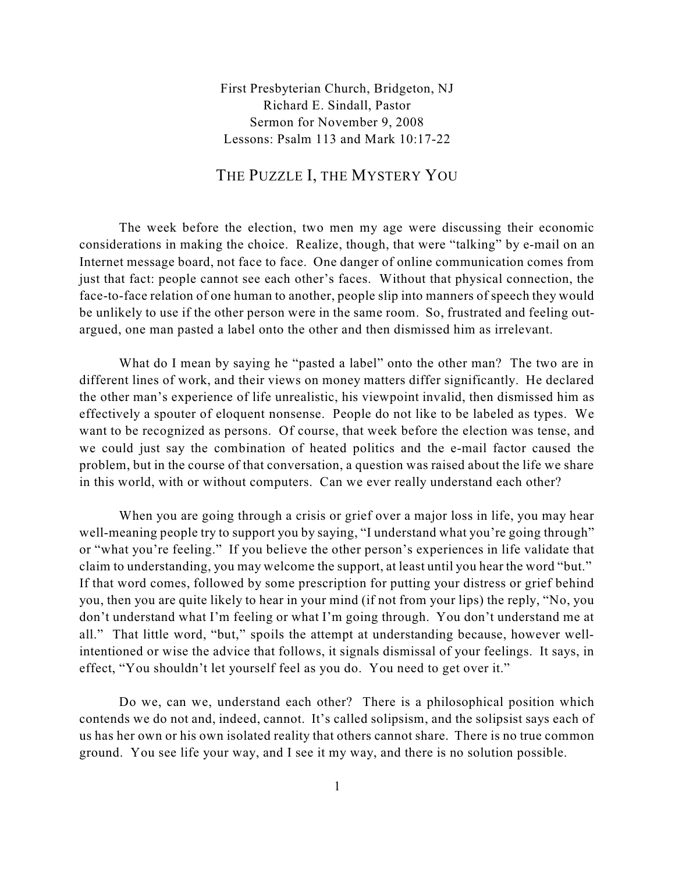First Presbyterian Church, Bridgeton, NJ Richard E. Sindall, Pastor Sermon for November 9, 2008 Lessons: Psalm 113 and Mark 10:17-22

## THE PUZZLE I, THE MYSTERY YOU

The week before the election, two men my age were discussing their economic considerations in making the choice. Realize, though, that were "talking" by e-mail on an Internet message board, not face to face. One danger of online communication comes from just that fact: people cannot see each other's faces. Without that physical connection, the face-to-face relation of one human to another, people slip into manners of speech they would be unlikely to use if the other person were in the same room. So, frustrated and feeling outargued, one man pasted a label onto the other and then dismissed him as irrelevant.

What do I mean by saying he "pasted a label" onto the other man? The two are in different lines of work, and their views on money matters differ significantly. He declared the other man's experience of life unrealistic, his viewpoint invalid, then dismissed him as effectively a spouter of eloquent nonsense. People do not like to be labeled as types. We want to be recognized as persons. Of course, that week before the election was tense, and we could just say the combination of heated politics and the e-mail factor caused the problem, but in the course of that conversation, a question was raised about the life we share in this world, with or without computers. Can we ever really understand each other?

When you are going through a crisis or grief over a major loss in life, you may hear well-meaning people try to support you by saying, "I understand what you're going through" or "what you're feeling." If you believe the other person's experiences in life validate that claim to understanding, you may welcome the support, at least until you hear the word "but." If that word comes, followed by some prescription for putting your distress or grief behind you, then you are quite likely to hear in your mind (if not from your lips) the reply, "No, you don't understand what I'm feeling or what I'm going through. You don't understand me at all." That little word, "but," spoils the attempt at understanding because, however wellintentioned or wise the advice that follows, it signals dismissal of your feelings. It says, in effect, "You shouldn't let yourself feel as you do. You need to get over it."

Do we, can we, understand each other? There is a philosophical position which contends we do not and, indeed, cannot. It's called solipsism, and the solipsist says each of us has her own or his own isolated reality that others cannot share. There is no true common ground. You see life your way, and I see it my way, and there is no solution possible.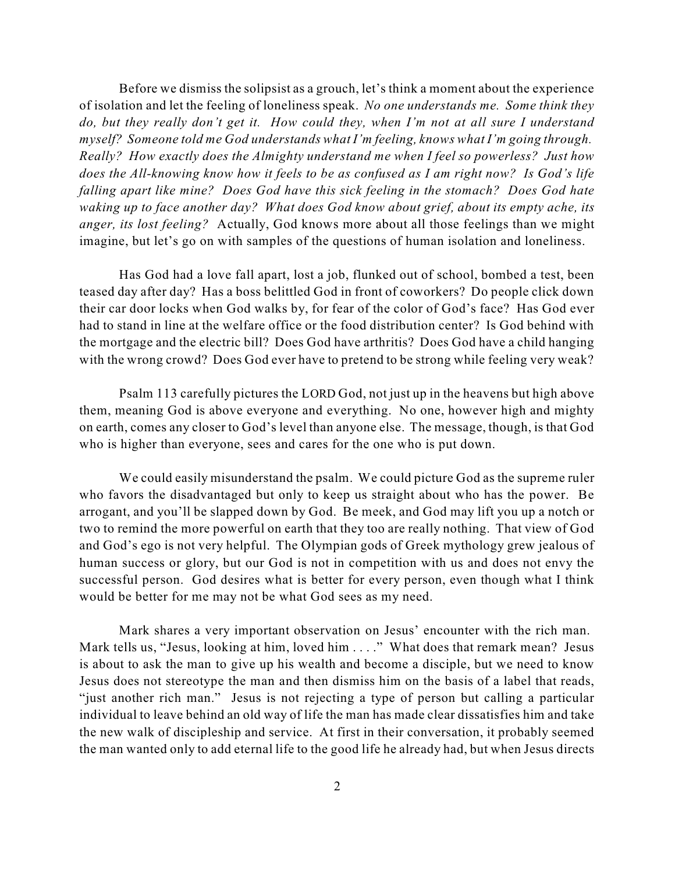Before we dismiss the solipsist as a grouch, let's think a moment about the experience of isolation and let the feeling of loneliness speak. *No one understands me. Some think they do, but they really don't get it. How could they, when I'm not at all sure I understand myself? Someone told me God understands what I'm feeling, knows what I'm going through. Really? How exactly does the Almighty understand me when I feel so powerless? Just how does the All-knowing know how it feels to be as confused as I am right now? Is God's life falling apart like mine? Does God have this sick feeling in the stomach? Does God hate waking up to face another day? What does God know about grief, about its empty ache, its anger, its lost feeling?* Actually, God knows more about all those feelings than we might imagine, but let's go on with samples of the questions of human isolation and loneliness.

Has God had a love fall apart, lost a job, flunked out of school, bombed a test, been teased day after day? Has a boss belittled God in front of coworkers? Do people click down their car door locks when God walks by, for fear of the color of God's face? Has God ever had to stand in line at the welfare office or the food distribution center? Is God behind with the mortgage and the electric bill? Does God have arthritis? Does God have a child hanging with the wrong crowd? Does God ever have to pretend to be strong while feeling very weak?

Psalm 113 carefully pictures the LORD God, not just up in the heavens but high above them, meaning God is above everyone and everything. No one, however high and mighty on earth, comes any closer to God's level than anyone else. The message, though, is that God who is higher than everyone, sees and cares for the one who is put down.

We could easily misunderstand the psalm. We could picture God as the supreme ruler who favors the disadvantaged but only to keep us straight about who has the power. Be arrogant, and you'll be slapped down by God. Be meek, and God may lift you up a notch or two to remind the more powerful on earth that they too are really nothing. That view of God and God's ego is not very helpful. The Olympian gods of Greek mythology grew jealous of human success or glory, but our God is not in competition with us and does not envy the successful person. God desires what is better for every person, even though what I think would be better for me may not be what God sees as my need.

Mark shares a very important observation on Jesus' encounter with the rich man. Mark tells us, "Jesus, looking at him, loved him . . . ." What does that remark mean? Jesus is about to ask the man to give up his wealth and become a disciple, but we need to know Jesus does not stereotype the man and then dismiss him on the basis of a label that reads, "just another rich man." Jesus is not rejecting a type of person but calling a particular individual to leave behind an old way of life the man has made clear dissatisfies him and take the new walk of discipleship and service. At first in their conversation, it probably seemed the man wanted only to add eternal life to the good life he already had, but when Jesus directs